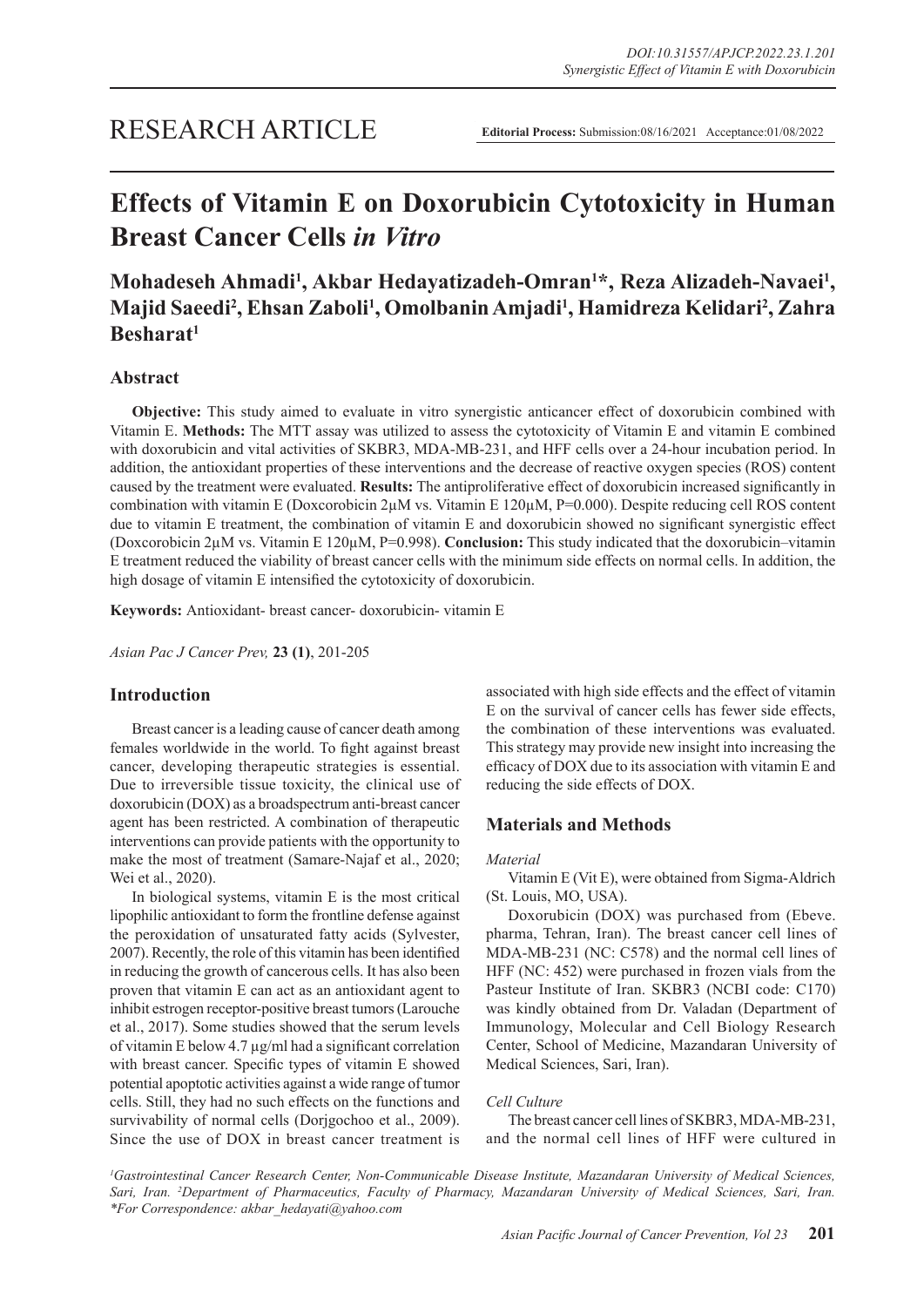# RESEARCH ARTICLE

# **Effects of Vitamin E on Doxorubicin Cytotoxicity in Human Breast Cancer Cells** *in Vitro*

# **Mohadeseh Ahmadi1 , Akbar Hedayatizadeh-Omran1 \*, Reza Alizadeh-Navaei1 , Majid Saeedi2 , Ehsan Zaboli1 , Omolbanin Amjadi1 , Hamidreza Kelidari2 , Zahra Besharat1**

# **Abstract**

**Objective:** This study aimed to evaluate in vitro synergistic anticancer effect of doxorubicin combined with Vitamin E. **Methods:** The MTT assay was utilized to assess the cytotoxicity of Vitamin E and vitamin E combined with doxorubicin and vital activities of SKBR3, MDA-MB-231, and HFF cells over a 24-hour incubation period. In addition, the antioxidant properties of these interventions and the decrease of reactive oxygen species (ROS) content caused by the treatment were evaluated. **Results:** The antiproliferative effect of doxorubicin increased significantly in combination with vitamin E (Doxcorobicin 2µM vs. Vitamin E 120µM, P=0.000). Despite reducing cell ROS content due to vitamin E treatment, the combination of vitamin E and doxorubicin showed no significant synergistic effect (Doxcorobicin 2µM vs. Vitamin E 120µM, P=0.998). **Conclusion:** This study indicated that the doxorubicin–vitamin E treatment reduced the viability of breast cancer cells with the minimum side effects on normal cells. In addition, the high dosage of vitamin E intensified the cytotoxicity of doxorubicin.

**Keywords:** Antioxidant- breast cancer- doxorubicin- vitamin E

*Asian Pac J Cancer Prev,* **23 (1)**, 201-205

# **Introduction**

Breast cancer is a leading cause of cancer death among females worldwide in the world. To fight against breast cancer, developing therapeutic strategies is essential. Due to irreversible tissue toxicity, the clinical use of doxorubicin (DOX) as a broadspectrum anti-breast cancer agent has been restricted. A combination of therapeutic interventions can provide patients with the opportunity to make the most of treatment (Samare-Najaf et al., 2020; Wei et al., 2020).

In biological systems, vitamin E is the most critical lipophilic antioxidant to form the frontline defense against the peroxidation of unsaturated fatty acids (Sylvester, 2007). Recently, the role of this vitamin has been identified in reducing the growth of cancerous cells. It has also been proven that vitamin E can act as an antioxidant agent to inhibit estrogen receptor-positive breast tumors (Larouche et al., 2017). Some studies showed that the serum levels of vitamin E below 4.7 µg/ml had a significant correlation with breast cancer. Specific types of vitamin E showed potential apoptotic activities against a wide range of tumor cells. Still, they had no such effects on the functions and survivability of normal cells (Dorjgochoo et al., 2009). Since the use of DOX in breast cancer treatment is associated with high side effects and the effect of vitamin E on the survival of cancer cells has fewer side effects, the combination of these interventions was evaluated. This strategy may provide new insight into increasing the efficacy of DOX due to its association with vitamin E and reducing the side effects of DOX.

# **Materials and Methods**

#### *Material*

Vitamin E (Vit E), were obtained from Sigma-Aldrich (St. Louis, MO, USA).

Doxorubicin (DOX) was purchased from (Ebeve. pharma, Tehran, Iran). The breast cancer cell lines of MDA-MB-231 (NC: C578) and the normal cell lines of HFF (NC: 452) were purchased in frozen vials from the Pasteur Institute of Iran. SKBR3 (NCBI code: C170) was kindly obtained from Dr. Valadan (Department of Immunology, Molecular and Cell Biology Research Center, School of Medicine, Mazandaran University of Medical Sciences, Sari, Iran).

## *Cell Culture*

The breast cancer cell lines of SKBR3, MDA-MB-231, and the normal cell lines of HFF were cultured in

<sup>1</sup>Gastrointestinal Cancer Research Center, Non-Communicable Disease Institute, Mazandaran University of Medical Sciences, Sari, Iran. <sup>2</sup>Department of Pharmaceutics, Faculty of Pharmacy, Mazandaran University of Medical Sciences, Sari, Iran. *\*For Correspondence: akbar\_hedayati@yahoo.com*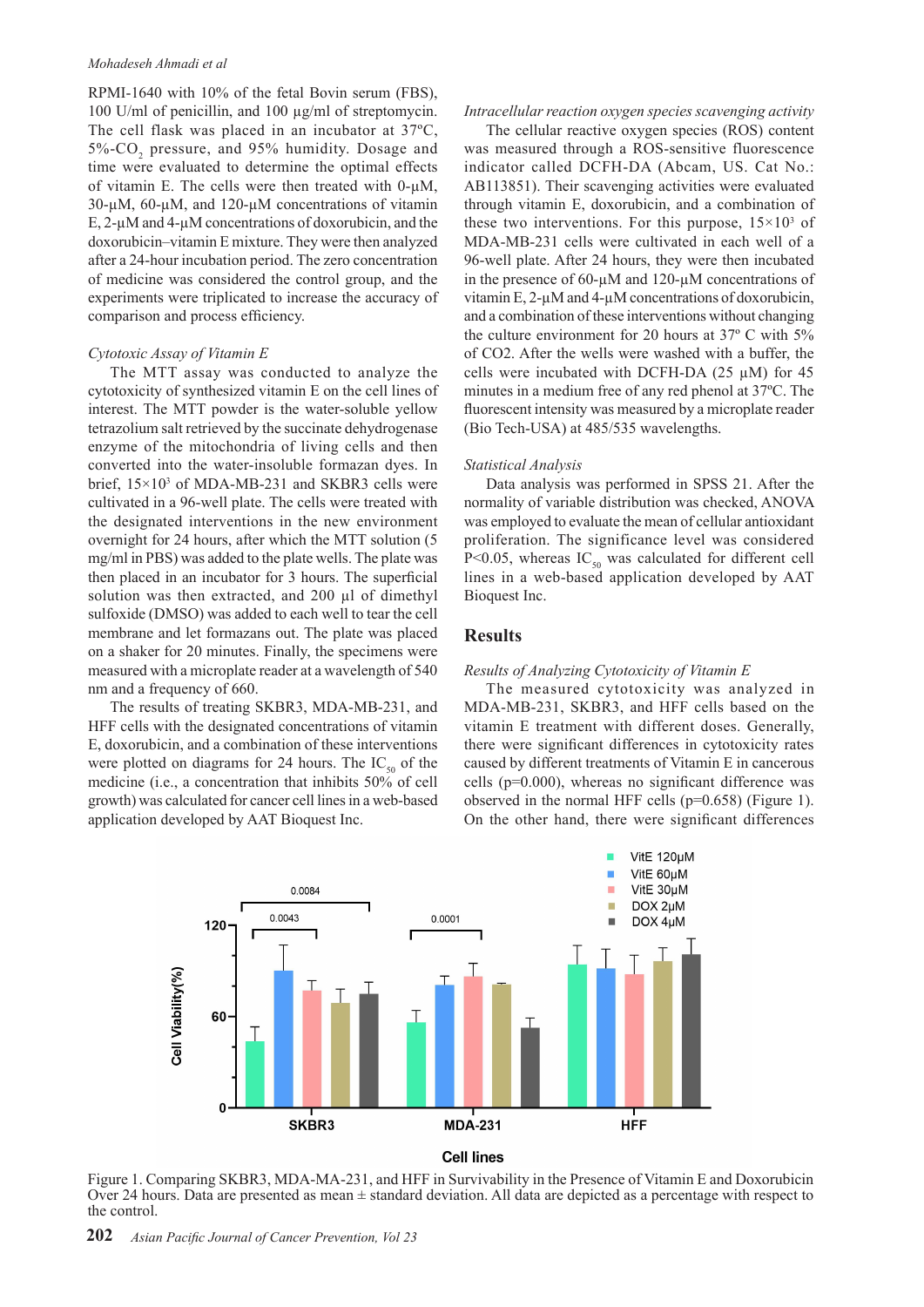#### *Mohadeseh Ahmadi et al*

RPMI-1640 with 10% of the fetal Bovin serum (FBS), 100 U/ml of penicillin, and 100 µg/ml of streptomycin. The cell flask was placed in an incubator at 37ºC, 5%-CO<sub>2</sub> pressure, and 95% humidity. Dosage and time were evaluated to determine the optimal effects of vitamin E. The cells were then treated with  $0-\mu M$ , 30-µM, 60-µM, and 120-µM concentrations of vitamin E, 2-µM and 4-µM concentrations of doxorubicin, and the doxorubicin–vitamin E mixture. They were then analyzed after a 24-hour incubation period. The zero concentration of medicine was considered the control group, and the experiments were triplicated to increase the accuracy of comparison and process efficiency.

#### *Cytotoxic Assay of Vitamin E*

The MTT assay was conducted to analyze the cytotoxicity of synthesized vitamin E on the cell lines of interest. The MTT powder is the water-soluble yellow tetrazolium salt retrieved by the succinate dehydrogenase enzyme of the mitochondria of living cells and then converted into the water-insoluble formazan dyes. In brief,  $15 \times 10^3$  of MDA-MB-231 and SKBR3 cells were cultivated in a 96-well plate. The cells were treated with the designated interventions in the new environment overnight for 24 hours, after which the MTT solution (5 mg/ml in PBS) was added to the plate wells. The plate was then placed in an incubator for 3 hours. The superficial solution was then extracted, and 200 µl of dimethyl sulfoxide (DMSO) was added to each well to tear the cell membrane and let formazans out. The plate was placed on a shaker for 20 minutes. Finally, the specimens were measured with a microplate reader at a wavelength of 540 nm and a frequency of 660.

The results of treating SKBR3, MDA-MB-231, and HFF cells with the designated concentrations of vitamin E, doxorubicin, and a combination of these interventions were plotted on diagrams for 24 hours. The  $IC_{50}$  of the medicine (i.e., a concentration that inhibits 50% of cell growth) was calculated for cancer cell lines in a web-based application developed by AAT Bioquest Inc.

#### *Intracellular reaction oxygen species scavenging activity*

The cellular reactive oxygen species (ROS) content was measured through a ROS-sensitive fluorescence indicator called DCFH-DA (Abcam, US. Cat No.: AB113851). Their scavenging activities were evaluated through vitamin E, doxorubicin, and a combination of these two interventions. For this purpose,  $15 \times 10^3$  of MDA-MB-231 cells were cultivated in each well of a 96-well plate. After 24 hours, they were then incubated in the presence of 60-µM and 120-µM concentrations of vitamin E, 2-µM and 4-µM concentrations of doxorubicin, and a combination of these interventions without changing the culture environment for 20 hours at 37º C with 5% of CO2. After the wells were washed with a buffer, the cells were incubated with DCFH-DA  $(25 \mu M)$  for 45 minutes in a medium free of any red phenol at 37ºC. The fluorescent intensity was measured by a microplate reader (Bio Tech-USA) at 485/535 wavelengths.

#### *Statistical Analysis*

Data analysis was performed in SPSS 21. After the normality of variable distribution was checked, ANOVA was employed to evaluate the mean of cellular antioxidant proliferation. The significance level was considered P<0.05, whereas  $IC_{50}$  was calculated for different cell lines in a web-based application developed by AAT Bioquest Inc.

# **Results**

#### *Results of Analyzing Cytotoxicity of Vitamin E*

The measured cytotoxicity was analyzed in MDA-MB-231, SKBR3, and HFF cells based on the vitamin E treatment with different doses. Generally, there were significant differences in cytotoxicity rates caused by different treatments of Vitamin E in cancerous cells (p=0.000), whereas no significant difference was observed in the normal HFF cells (p=0.658) (Figure 1). On the other hand, there were significant differences



Figure 1. Comparing SKBR3, MDA-MA-231, and HFF in Survivability in the Presence of Vitamin E and Doxorubicin Over 24 hours. Data are presented as mean ± standard deviation. All data are depicted as a percentage with respect to the control.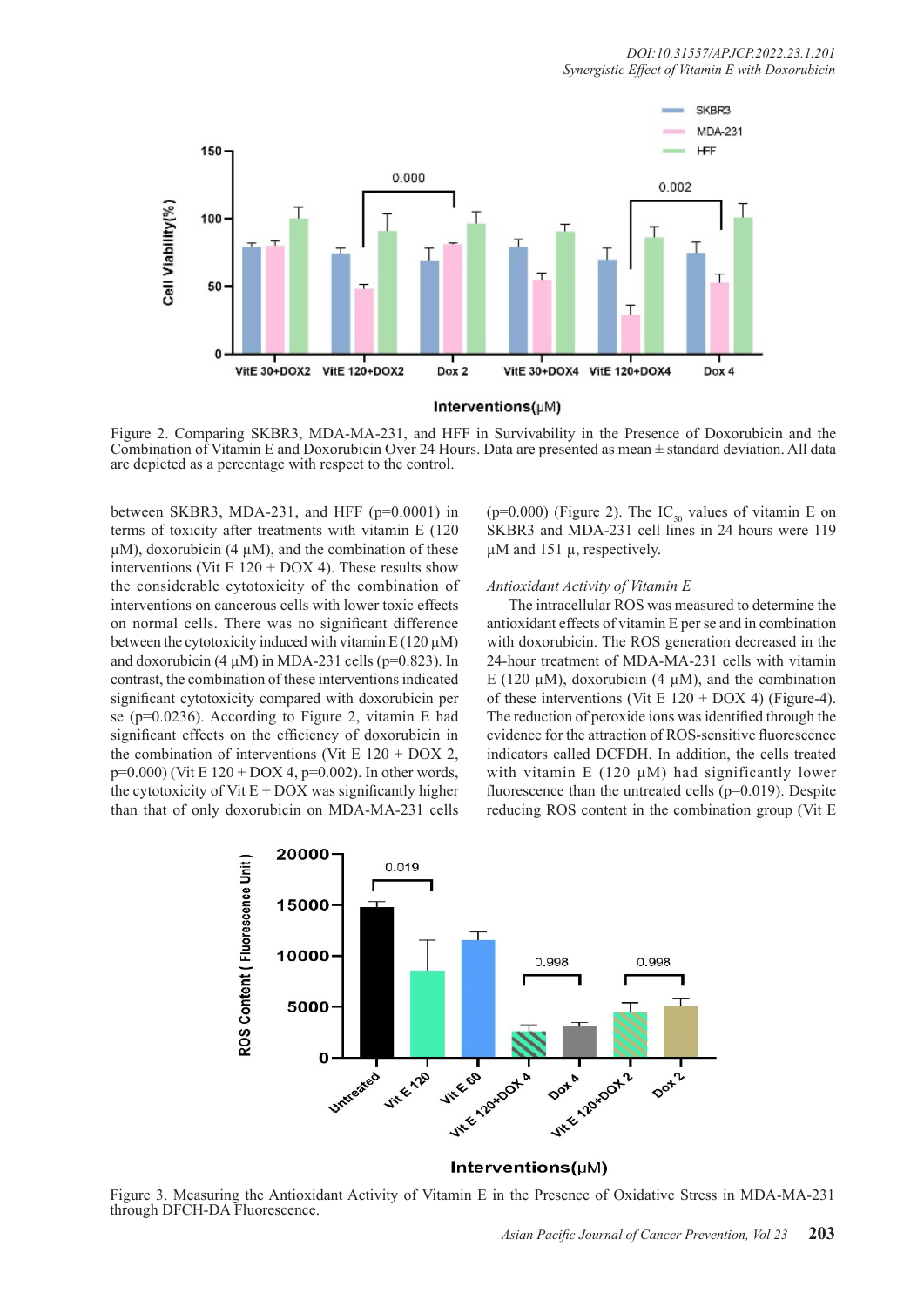

Figure 2. Comparing SKBR3, MDA-MA-231, and HFF in Survivability in the Presence of Doxorubicin and the Combination of Vitamin E and Doxorubicin Over 24 Hours. Data are presented as mean ± standard deviation. All data are depicted as a percentage with respect to the control.

between SKBR3, MDA-231, and HFF (p=0.0001) in terms of toxicity after treatments with vitamin E (120  $\mu$ M), doxorubicin (4  $\mu$ M), and the combination of these interventions (Vit E  $120 + DOS4$ ). These results show the considerable cytotoxicity of the combination of interventions on cancerous cells with lower toxic effects on normal cells. There was no significant difference between the cytotoxicity induced with vitamin  $E(120 \mu M)$ and doxorubicin (4  $\mu$ M) in MDA-231 cells (p=0.823). In contrast, the combination of these interventions indicated significant cytotoxicity compared with doxorubicin per se (p=0.0236). According to Figure 2, vitamin E had significant effects on the efficiency of doxorubicin in the combination of interventions (Vit E  $120 + DOX$  2,  $p=0.000$ ) (Vit E 120 + DOX 4,  $p=0.002$ ). In other words, the cytotoxicity of Vit  $E + DOX$  was significantly higher than that of only doxorubicin on MDA-MA-231 cells

(p=0.000) (Figure 2). The  $IC_{50}$  values of vitamin E on SKBR3 and MDA-231 cell lines in 24 hours were 119 µM and 151 µ, respectively.

#### *Antioxidant Activity of Vitamin E*

The intracellular ROS was measured to determine the antioxidant effects of vitamin E per se and in combination with doxorubicin. The ROS generation decreased in the 24-hour treatment of MDA-MA-231 cells with vitamin E (120  $\mu$ M), doxorubicin (4  $\mu$ M), and the combination of these interventions (Vit E  $120 +$  DOX 4) (Figure-4). The reduction of peroxide ions was identified through the evidence for the attraction of ROS-sensitive fluorescence indicators called DCFDH. In addition, the cells treated with vitamin E (120  $\mu$ M) had significantly lower fluorescence than the untreated cells (p=0.019). Despite reducing ROS content in the combination group (Vit E



Figure 3. Measuring the Antioxidant Activity of Vitamin E in the Presence of Oxidative Stress in MDA-MA-231 through DFCH-DA Fluorescence.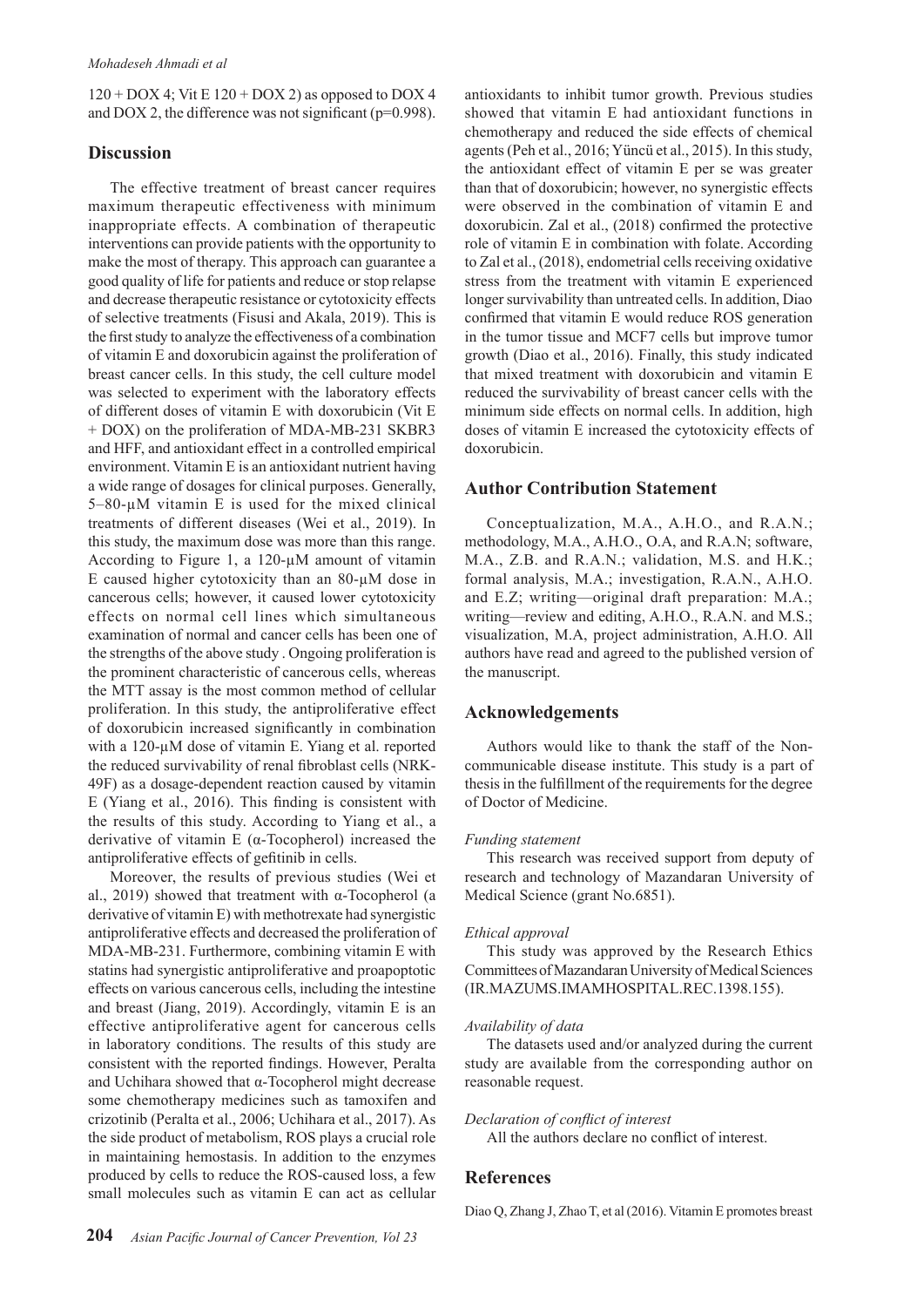$120 + DOX$  4; Vit E  $120 + DOX$  2) as opposed to DOX 4 and DOX 2, the difference was not significant (p=0.998).

# **Discussion**

The effective treatment of breast cancer requires maximum therapeutic effectiveness with minimum inappropriate effects. A combination of therapeutic interventions can provide patients with the opportunity to make the most of therapy. This approach can guarantee a good quality of life for patients and reduce or stop relapse and decrease therapeutic resistance or cytotoxicity effects of selective treatments (Fisusi and Akala, 2019). This is the first study to analyze the effectiveness of a combination of vitamin E and doxorubicin against the proliferation of breast cancer cells. In this study, the cell culture model was selected to experiment with the laboratory effects of different doses of vitamin E with doxorubicin (Vit E + DOX) on the proliferation of MDA-MB-231 SKBR3 and HFF, and antioxidant effect in a controlled empirical environment. Vitamin E is an antioxidant nutrient having a wide range of dosages for clinical purposes. Generally, 5–80-µM vitamin E is used for the mixed clinical treatments of different diseases (Wei et al., 2019). In this study, the maximum dose was more than this range. According to Figure 1, a 120-µM amount of vitamin E caused higher cytotoxicity than an 80-µM dose in cancerous cells; however, it caused lower cytotoxicity effects on normal cell lines which simultaneous examination of normal and cancer cells has been one of the strengths of the above study . Ongoing proliferation is the prominent characteristic of cancerous cells, whereas the MTT assay is the most common method of cellular proliferation. In this study, the antiproliferative effect of doxorubicin increased significantly in combination with a 120-µM dose of vitamin E. Yiang et al. reported the reduced survivability of renal fibroblast cells (NRK-49F) as a dosage-dependent reaction caused by vitamin E (Yiang et al., 2016). This finding is consistent with the results of this study. According to Yiang et al., a derivative of vitamin E (α-Tocopherol) increased the antiproliferative effects of gefitinib in cells.

Moreover, the results of previous studies (Wei et al., 2019) showed that treatment with α-Tocopherol (a derivative of vitamin E) with methotrexate had synergistic antiproliferative effects and decreased the proliferation of MDA-MB-231. Furthermore, combining vitamin E with statins had synergistic antiproliferative and proapoptotic effects on various cancerous cells, including the intestine and breast (Jiang, 2019). Accordingly, vitamin E is an effective antiproliferative agent for cancerous cells in laboratory conditions. The results of this study are consistent with the reported findings. However, Peralta and Uchihara showed that α-Tocopherol might decrease some chemotherapy medicines such as tamoxifen and crizotinib (Peralta et al., 2006; Uchihara et al., 2017). As the side product of metabolism, ROS plays a crucial role in maintaining hemostasis. In addition to the enzymes produced by cells to reduce the ROS-caused loss, a few small molecules such as vitamin E can act as cellular

antioxidants to inhibit tumor growth. Previous studies showed that vitamin E had antioxidant functions in chemotherapy and reduced the side effects of chemical agents (Peh et al., 2016; Yüncü et al., 2015). In this study, the antioxidant effect of vitamin E per se was greater than that of doxorubicin; however, no synergistic effects were observed in the combination of vitamin E and doxorubicin. Zal et al., (2018) confirmed the protective role of vitamin E in combination with folate. According to Zal et al., (2018), endometrial cells receiving oxidative stress from the treatment with vitamin E experienced longer survivability than untreated cells. In addition, Diao confirmed that vitamin E would reduce ROS generation in the tumor tissue and MCF7 cells but improve tumor growth (Diao et al., 2016). Finally, this study indicated that mixed treatment with doxorubicin and vitamin E reduced the survivability of breast cancer cells with the minimum side effects on normal cells. In addition, high doses of vitamin E increased the cytotoxicity effects of doxorubicin.

# **Author Contribution Statement**

Conceptualization, M.A., A.H.O., and R.A.N.; methodology, M.A., A.H.O., O.A, and R.A.N; software, M.A., Z.B. and R.A.N.; validation, M.S. and H.K.; formal analysis, M.A.; investigation, R.A.N., A.H.O. and E.Z; writing—original draft preparation: M.A.; writing—review and editing, A.H.O., R.A.N. and M.S.; visualization, M.A, project administration, A.H.O. All authors have read and agreed to the published version of the manuscript.

# **Acknowledgements**

Authors would like to thank the staff of the Noncommunicable disease institute. This study is a part of thesis in the fulfillment of the requirements for the degree of Doctor of Medicine.

## *Funding statement*

This research was received support from deputy of research and technology of Mazandaran University of Medical Science (grant No.6851).

## *Ethical approval*

This study was approved by the Research Ethics Committees of Mazandaran University of Medical Sciences (IR.MAZUMS.IMAMHOSPITAL.REC.1398.155).

## *Availability of data*

The datasets used and/or analyzed during the current study are available from the corresponding author on reasonable request.

*Declaration of conflict of interest*

All the authors declare no conflict of interest.

# **References**

Diao Q, Zhang J, Zhao T, et al (2016). Vitamin E promotes breast